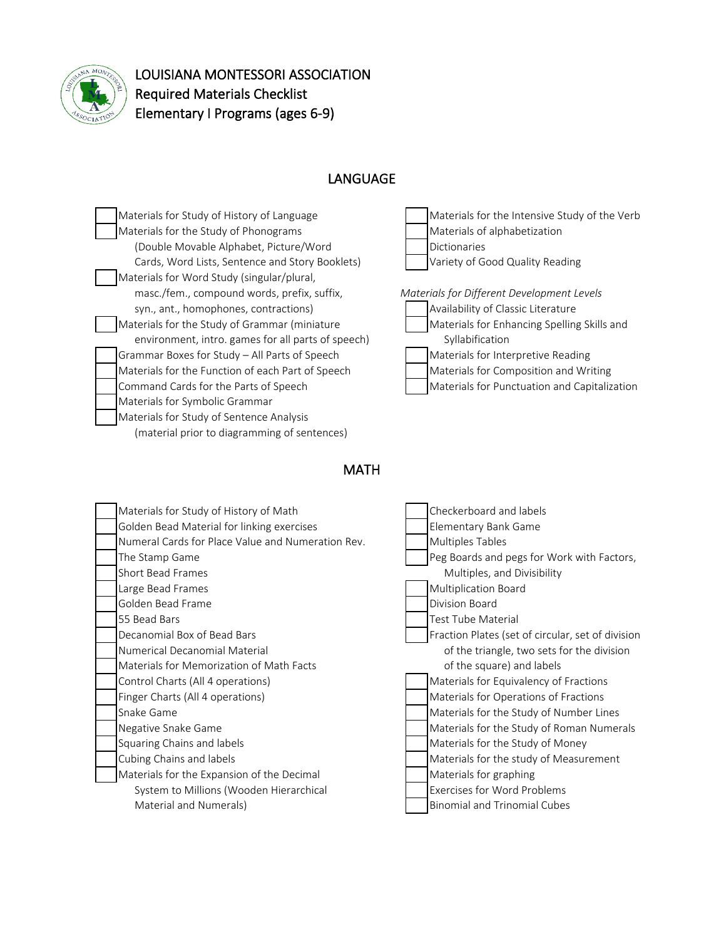

LOUISIANA MONTESSORI ASSOCIATION Required Materials Checklist Elementary I Programs (ages 6-9)

## LANGUAGE

Materials for Study of History of Language Materials for the Intensive Study of the Verb Materials for the Study of Phonograms Materials of alphabetization (Double Movable Alphabet, Picture/Word Dictionaries Cards, Word Lists, Sentence and Story Booklets) Variety of Good Quality Reading Materials for Word Study (singular/plural, masc./fem., compound words, prefix, suffix, *Materials for Different Development Levels* syn., ant., homophones, contractions) Availability of Classic Literature Materials for the Study of Grammar (miniature Materials for Enhancing Spelling Skills and environment, intro. games for all parts of speech) Syllabification Grammar Boxes for Study – All Parts of Speech Materials for Interpretive Reading Materials for the Function of each Part of Speech Materials for Composition and Writing Command Cards for the Parts of Speech Materials for Punctuation and Capitalization Materials for Symbolic Grammar Materials for Study of Sentence Analysis (material prior to diagramming of sentences)



### **MATH**

| Materials for Study of History of Math            | Checkerboard and labels                           |
|---------------------------------------------------|---------------------------------------------------|
| Golden Bead Material for linking exercises        | Elementary Bank Game                              |
| Numeral Cards for Place Value and Numeration Rev. | <b>Multiples Tables</b>                           |
| The Stamp Game                                    | Peg Boards and pegs for Work with Factors,        |
| Short Bead Frames                                 | Multiples, and Divisibility                       |
| Large Bead Frames                                 | Multiplication Board                              |
| Golden Bead Frame                                 | Division Board                                    |
| 55 Bead Bars                                      | <b>Test Tube Material</b>                         |
| Decanomial Box of Bead Bars                       | Fraction Plates (set of circular, set of division |
| Numerical Decanomial Material                     | of the triangle, two sets for the division        |
| Materials for Memorization of Math Facts          | of the square) and labels                         |
| Control Charts (All 4 operations)                 | Materials for Equivalency of Fractions            |
| Finger Charts (All 4 operations)                  | Materials for Operations of Fractions             |
| Snake Game                                        | Materials for the Study of Number Lines           |
| Negative Snake Game                               | Materials for the Study of Roman Numerals         |
| Squaring Chains and labels                        | Materials for the Study of Money                  |
| Cubing Chains and labels                          | Materials for the study of Measurement            |
| Materials for the Expansion of the Decimal        | Materials for graphing                            |
| System to Millions (Wooden Hierarchical           | <b>Exercises for Word Problems</b>                |
| Material and Numerals)                            | <b>Binomial and Trinomial Cubes</b>               |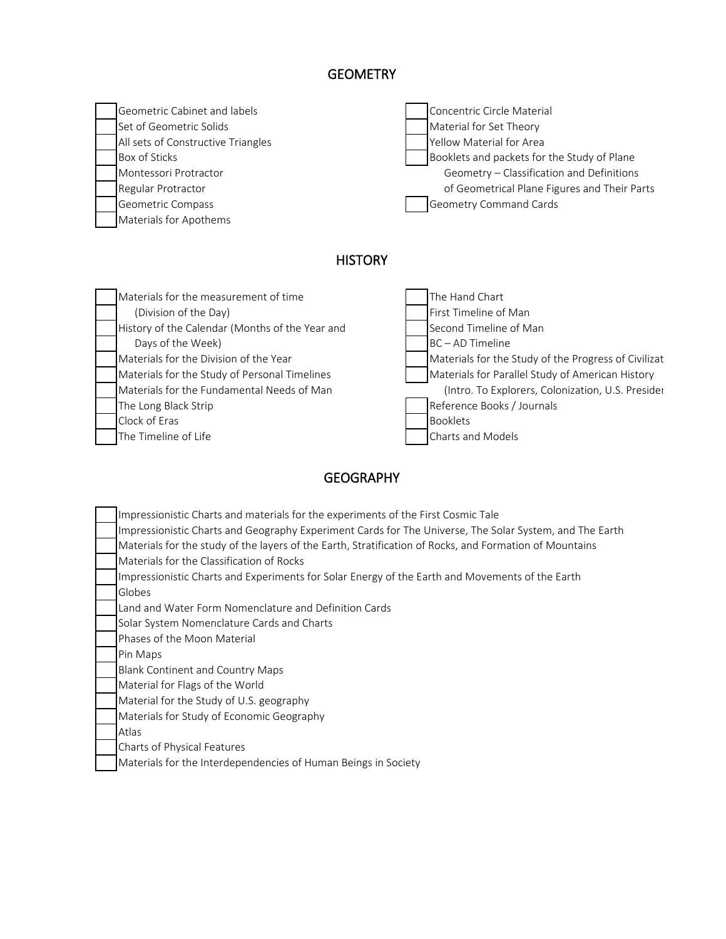# **GEOMETRY**

| Geometric Cabinet and labels       | Concentric Circle Material                   |
|------------------------------------|----------------------------------------------|
| Set of Geometric Solids            | Material for Set Theory                      |
| All sets of Constructive Triangles | Yellow Material for Area                     |
| Box of Sticks                      | Booklets and packets for the Study of Plane  |
| Montessori Protractor              | Geometry - Classification and Definitions    |
| Regular Protractor                 | of Geometrical Plane Figures and Their Parts |
| Geometric Compass                  | <b>Geometry Command Cards</b>                |
| Materials for Apothems             |                                              |

# **HISTORY**

 $\mathbf l$ 

| Materials for the measurement of time           | The Hand Chart                                       |
|-------------------------------------------------|------------------------------------------------------|
| (Division of the Day)                           | First Timeline of Man                                |
| History of the Calendar (Months of the Year and | Second Timeline of Man                               |
| Days of the Week)                               | BC - AD Timeline                                     |
| Materials for the Division of the Year          | Materials for the Study of the Progress of Civilizat |
| Materials for the Study of Personal Timelines   | Materials for Parallel Study of American History     |
| Materials for the Fundamental Needs of Man      | (Intro. To Explorers, Colonization, U.S. Presider    |
| The Long Black Strip                            | Reference Books / Journals                           |
| Clock of Eras                                   | <b>Booklets</b>                                      |
| The Timeline of Life                            | Charts and Models                                    |

## GEOGRAPHY

| Impressionistic Charts and materials for the experiments of the First Cosmic Tale                       |
|---------------------------------------------------------------------------------------------------------|
| Impressionistic Charts and Geography Experiment Cards for The Universe, The Solar System, and The Earth |
| Materials for the study of the layers of the Earth, Stratification of Rocks, and Formation of Mountains |
| Materials for the Classification of Rocks                                                               |
| Impressionistic Charts and Experiments for Solar Energy of the Earth and Movements of the Earth         |
| Globes                                                                                                  |
| Land and Water Form Nomenclature and Definition Cards                                                   |
| Solar System Nomenclature Cards and Charts                                                              |
| Phases of the Moon Material                                                                             |
| Pin Maps                                                                                                |
| Blank Continent and Country Maps                                                                        |
| Material for Flags of the World                                                                         |
| Material for the Study of U.S. geography                                                                |
| Materials for Study of Economic Geography                                                               |
| Atlas                                                                                                   |
| Charts of Physical Features                                                                             |
| Materials for the Interdependencies of Human Beings in Society                                          |